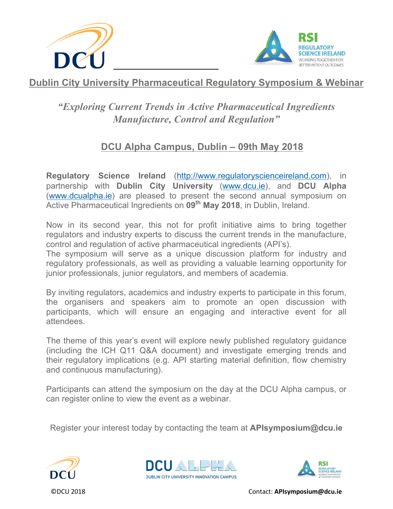



## *"Exploring Current Trends in Active Pharmaceutical Ingredients Manufacture, Control and Regulation"*

## **DCU Alpha Campus, Dublin – 09th May 2018**

**Regulatory Science Ireland** [\(http://www.regulatoryscienceireland.com\)](http://www.regulatoryscienceireland.com/), in partnership with **Dublin City University** [\(www.dcu.ie\)](http://www.dcu.ie/), and **DCU Alpha** [\(www.dcualpha.ie\)](http://www.dcualpha.ie/) are pleased to present the second annual symposium on Active Pharmaceutical Ingredients on **09th May 2018**, in Dublin, Ireland.

Now in its second year, this not for profit initiative aims to bring together regulators and industry experts to discuss the current trends in the manufacture, control and regulation of active pharmaceutical ingredients (API's).

The symposium will serve as a unique discussion platform for industry and regulatory professionals, as well as providing a valuable learning opportunity for junior professionals, junior regulators, and members of academia.

By inviting regulators, academics and industry experts to participate in this forum, the organisers and speakers aim to promote an open discussion with participants, which will ensure an engaging and interactive event for all attendees.

The theme of this year's event will explore newly published regulatory guidance (including the ICH Q11 Q&A document) and investigate emerging trends and their regulatory implications (e.g. API starting material definition, flow chemistry and continuous manufacturing).

Participants can attend the symposium on the day at the DCU Alpha campus, or can register online to view the event as a webinar.

Register your interest today by contacting the team at **APIsymposium@dcu.ie**





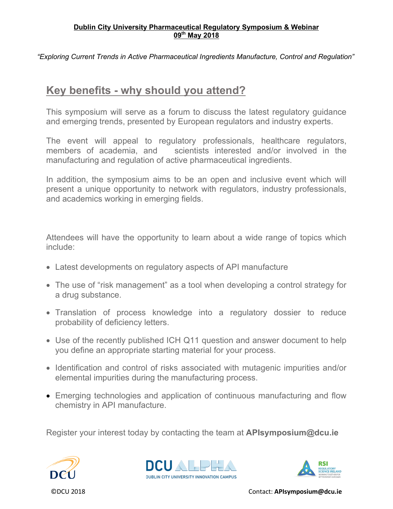*"Exploring Current Trends in Active Pharmaceutical Ingredients Manufacture, Control and Regulation"*

## **Key benefits - why should you attend?**

This symposium will serve as a forum to discuss the latest regulatory guidance and emerging trends, presented by European regulators and industry experts.

The event will appeal to regulatory professionals, healthcare regulators, members of academia, and scientists interested and/or involved in the manufacturing and regulation of active pharmaceutical ingredients.

In addition, the symposium aims to be an open and inclusive event which will present a unique opportunity to network with regulators, industry professionals, and academics working in emerging fields.

Attendees will have the opportunity to learn about a wide range of topics which include:

- Latest developments on regulatory aspects of API manufacture
- The use of "risk management" as a tool when developing a control strategy for a drug substance.
- Translation of process knowledge into a regulatory dossier to reduce probability of deficiency letters.
- Use of the recently published ICH Q11 question and answer document to help you define an appropriate starting material for your process.
- Identification and control of risks associated with mutagenic impurities and/or elemental impurities during the manufacturing process.
- Emerging technologies and application of continuous manufacturing and flow chemistry in API manufacture.

Register your interest today by contacting the team at **APIsymposium@dcu.ie**





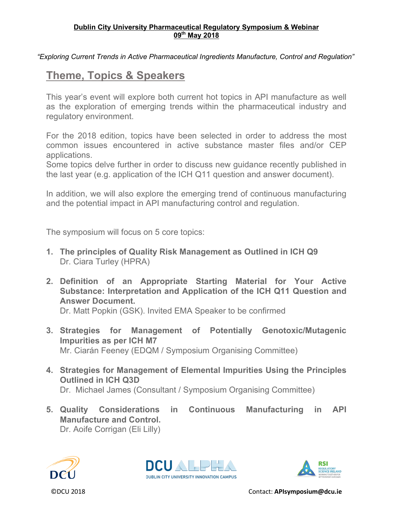*"Exploring Current Trends in Active Pharmaceutical Ingredients Manufacture, Control and Regulation"*

# **Theme, Topics & Speakers**

This year's event will explore both current hot topics in API manufacture as well as the exploration of emerging trends within the pharmaceutical industry and regulatory environment.

For the 2018 edition, topics have been selected in order to address the most common issues encountered in active substance master files and/or CEP applications.

Some topics delve further in order to discuss new guidance recently published in the last year (e.g. application of the ICH Q11 question and answer document).

In addition, we will also explore the emerging trend of continuous manufacturing and the potential impact in API manufacturing control and regulation.

The symposium will focus on 5 core topics:

- **1. The principles of Quality Risk Management as Outlined in ICH Q9** Dr. Ciara Turley (HPRA)
- **2. Definition of an Appropriate Starting Material for Your Active Substance: Interpretation and Application of the ICH Q11 Question and Answer Document.**

Dr. Matt Popkin (GSK). Invited EMA Speaker to be confirmed

- **3. Strategies for Management of Potentially Genotoxic/Mutagenic Impurities as per ICH M7** Mr. Ciarán Feeney (EDQM / Symposium Organising Committee)
- **4. Strategies for Management of Elemental Impurities Using the Principles Outlined in ICH Q3D** Dr. Michael James (Consultant / Symposium Organising Committee)
- **5. Quality Considerations in Continuous Manufacturing in API Manufacture and Control.**  Dr. Aoife Corrigan (Eli Lilly)





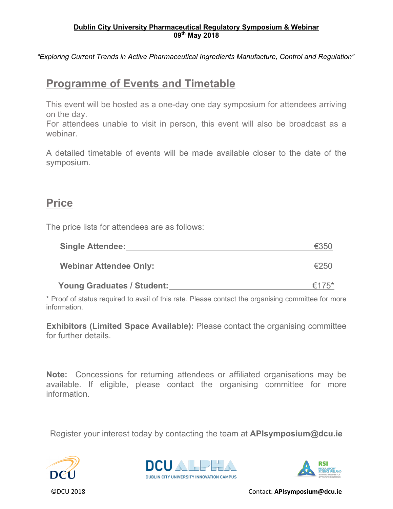*"Exploring Current Trends in Active Pharmaceutical Ingredients Manufacture, Control and Regulation"*

### **Programme of Events and Timetable**

This event will be hosted as a one-day one day symposium for attendees arriving on the day.

For attendees unable to visit in person, this event will also be broadcast as a webinar.

A detailed timetable of events will be made available closer to the date of the symposium.

### **Price**

The price lists for attendees are as follows:

| <b>Single Attendee:</b>       | €350 |
|-------------------------------|------|
| <b>Webinar Attendee Only:</b> | €250 |

\* Proof of status required to avail of this rate. Please contact the organising committee for more information.

**Young Graduates / Student:** €175\*

**Exhibitors (Limited Space Available):** Please contact the organising committee for further details.

**Note:** Concessions for returning attendees or affiliated organisations may be available. If eligible, please contact the organising committee for more information.

Register your interest today by contacting the team at **APIsymposium@dcu.ie**





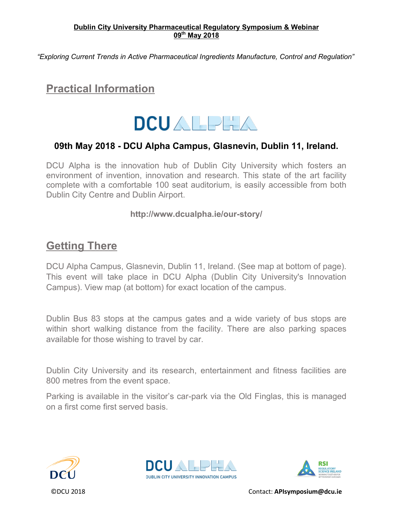*"Exploring Current Trends in Active Pharmaceutical Ingredients Manufacture, Control and Regulation"*

# **Practical Information**



### **09th May 2018 - DCU Alpha Campus, Glasnevin, Dublin 11, Ireland.**

DCU Alpha is the innovation hub of Dublin City University which fosters an environment of invention, innovation and research. This state of the art facility complete with a comfortable 100 seat auditorium, is easily accessible from both Dublin City Centre and Dublin Airport.

### **<http://www.dcualpha.ie/our-story/>**

## **Getting There**

[DCU Alpha Campus,](http://www.dcualpha.ie/) Glasnevin, Dublin 11, Ireland. (See map at bottom of page). This event will take place in DCU Alpha (Dublin City University's Innovation Campus). View map (at bottom) for exact location of the campus.

[Dublin Bus 83](http://www.dublinbus.ie/en/Your-Journey1/Timetables/All-Timetables/83/) stops at the campus gates and a wide variety of bus stops are within short walking distance from the facility. There are also parking spaces available for those wishing to travel by car.

Dublin City University and its research, entertainment and fitness facilities are 800 metres from the event space.

Parking is available in the visitor's car-park via the Old Finglas, this is managed on a first come first served basis.





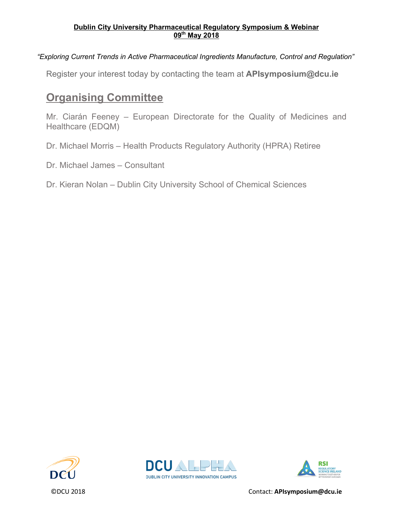### *"Exploring Current Trends in Active Pharmaceutical Ingredients Manufacture, Control and Regulation"*

Register your interest today by contacting the team at **APIsymposium@dcu.ie**

# **Organising Committee**

Mr. Ciarán Feeney – European Directorate for the Quality of Medicines and Healthcare (EDQM)

Dr. Michael Morris – Health Products Regulatory Authority (HPRA) Retiree

Dr. Michael James – Consultant

Dr. Kieran Nolan – Dublin City University School of Chemical Sciences